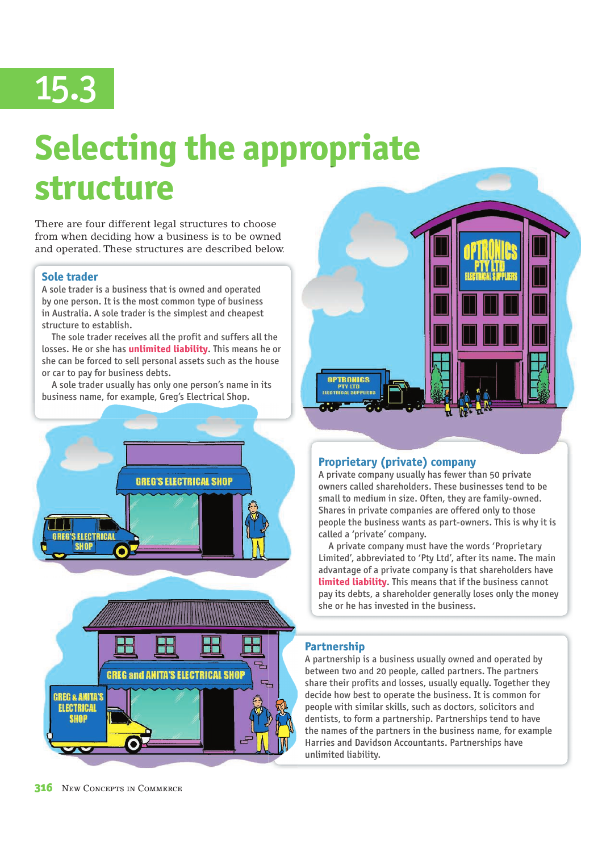# 15.3

## **Selecting the appropriate structure**

There are four different legal structures to choose from when deciding how a business is to be owned and operated. These structures are described below.

### **Sole trader**

A sole trader is a business that is owned and operated by one person. It is the most common type of business in Australia. A sole trader is the simplest and cheapest structure to establish.

 The sole trader receives all the profit and suffers all the losses. He or she has **unlimited liability**. This means he or she can be forced to sell personal assets such as the house or car to pay for business debts.

 A sole trader usually has only one person's name in its business name, for example, Greg's Electrical Shop.







### **Proprietary (private) company**

A private company usually has fewer than 50 private owners called shareholders. These businesses tend to be small to medium in size. Often, they are family-owned. Shares in private companies are offered only to those people the business wants as part-owners. This is why it is called a 'private' company.

 A private company must have the words 'Proprietary Limited', abbreviated to 'Pty Ltd', after its name. The main advantage of a private company is that shareholders have **limited liability**. This means that if the business cannot pay its debts, a shareholder generally loses only the money she or he has invested in the business.

### **Partnership**

A partnership is a business usually owned and operated by between two and 20 people, called partners. The partners share their profits and losses, usually equally. Together they decide how best to operate the business. It is common for people with similar skills, such as doctors, solicitors and dentists, to form a partnership. Partnerships tend to have the names of the partners in the business name, for example Harries and Davidson Accountants. Partnerships have unlimited liability.